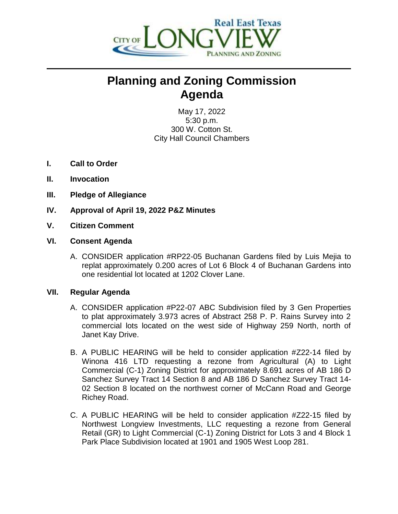

## **Planning and Zoning Commission Agenda**

May 17, 2022 5:30 p.m. 300 W. Cotton St. City Hall Council Chambers

- **I. Call to Order**
- **II. Invocation**
- **III. Pledge of Allegiance**
- **IV. Approval of April 19, 2022 P&Z Minutes**
- **V. Citizen Comment**
- **VI. Consent Agenda**
	- A. CONSIDER application #RP22-05 Buchanan Gardens filed by Luis Mejia to replat approximately 0.200 acres of Lot 6 Block 4 of Buchanan Gardens into one residential lot located at 1202 Clover Lane.

## **VII. Regular Agenda**

- A. CONSIDER application #P22-07 ABC Subdivision filed by 3 Gen Properties to plat approximately 3.973 acres of Abstract 258 P. P. Rains Survey into 2 commercial lots located on the west side of Highway 259 North, north of Janet Kay Drive.
- B. A PUBLIC HEARING will be held to consider application #Z22-14 filed by Winona 416 LTD requesting a rezone from Agricultural (A) to Light Commercial (C-1) Zoning District for approximately 8.691 acres of AB 186 D Sanchez Survey Tract 14 Section 8 and AB 186 D Sanchez Survey Tract 14- 02 Section 8 located on the northwest corner of McCann Road and George Richey Road.
- C. A PUBLIC HEARING will be held to consider application #Z22-15 filed by Northwest Longview Investments, LLC requesting a rezone from General Retail (GR) to Light Commercial (C-1) Zoning District for Lots 3 and 4 Block 1 Park Place Subdivision located at 1901 and 1905 West Loop 281.